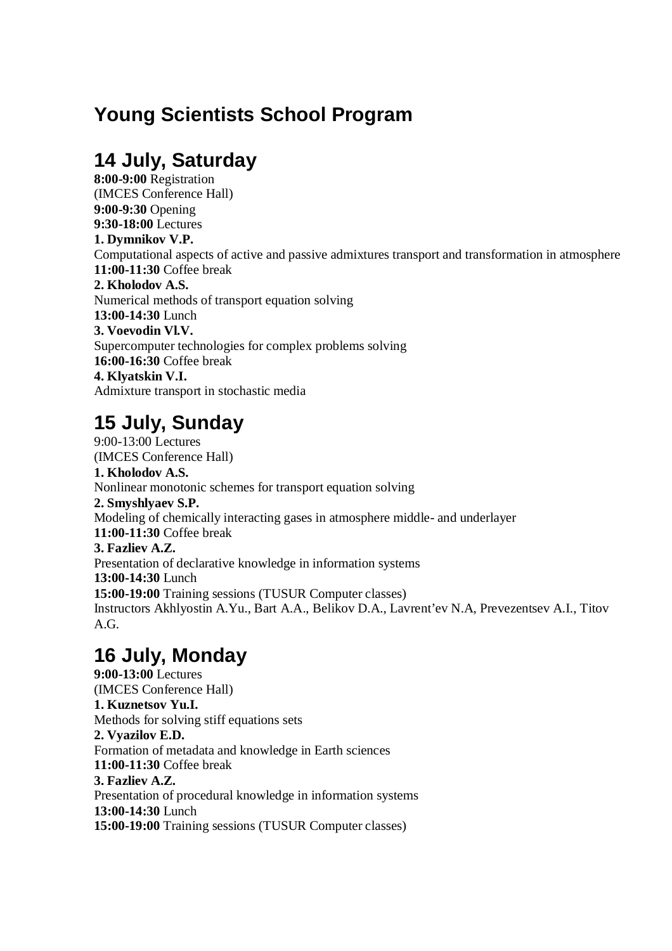# **Young Scientists School Program**

## **14 July, Saturday**

**8:00-9:00** Registration (IMCES Conference Hall) **9:00-9:30** Opening **9:30-18:00** Lectures **1. Dymnikov V.P.**  Computational aspects of active and passive admixtures transport and transformation in atmosphere **11:00-11:30** Coffee break **2. Kholodov A.S.**  Numerical methods of transport equation solving **13:00-14:30** Lunch **3. Voevodin Vl.V.**  Supercomputer technologies for complex problems solving **16:00-16:30** Coffee break **4. Klyatskin V.I.**  Admixture transport in stochastic media

## **15 July, Sunday**

9:00-13:00 Lectures (IMCES Conference Hall) **1. Kholodov A.S.**  Nonlinear monotonic schemes for transport equation solving **2. Smyshlyaev S.P.**  Modeling of chemically interacting gases in atmosphere middle- and underlayer **11:00-11:30** Coffee break **3. Fazliev A.Z.**  Presentation of declarative knowledge in information systems **13:00-14:30** Lunch **15:00-19:00** Training sessions (TUSUR Computer classes) Instructors Akhlyostin A.Yu., Bart A.A., Belikov D.A., Lavrent'ev N.A, Prevezentsev A.I., Titov A.G.

## **16 July, Monday**

**9:00-13:00** Lectures (IMCES Conference Hall) **1. Kuznetsov Yu.I.**  Methods for solving stiff equations sets **2. Vyazilov E.D.**  Formation of metadata and knowledge in Earth sciences **11:00-11:30** Coffee break **3. Fazliev A.Z.**  Presentation of procedural knowledge in information systems **13:00-14:30** Lunch **15:00-19:00** Training sessions (TUSUR Computer classes)